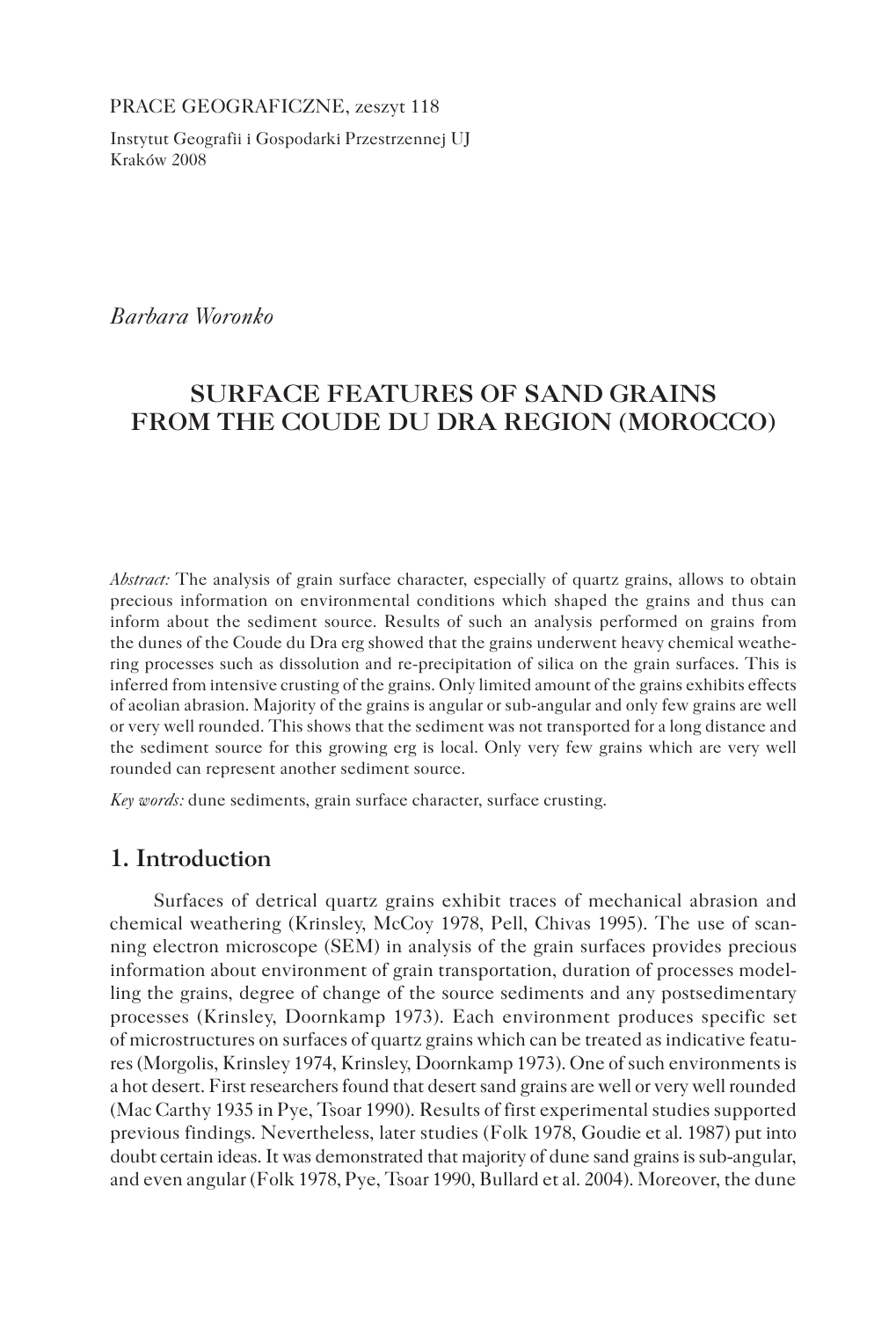PRACE GEOGRAFICZNE, zeszyt 118

Instytut Geografii i Gospodarki Przestrzennej UJ Kraków 2008

*Barbara Woronko*

# **SURFACE FEATURES OF SAND GRAINS FROM THE COUDE DU DRA REGION (MOROCCO)**

*Abstract:* The analysis of grain surface character, especially of quartz grains, allows to obtain precious information on environmental conditions which shaped the grains and thus can inform about the sediment source. Results of such an analysis performed on grains from the dunes of the Coude du Dra erg showed that the grains underwent heavy chemical weathering processes such as dissolution and re-precipitation of silica on the grain surfaces. This is inferred from intensive crusting of the grains. Only limited amount of the grains exhibits effects of aeolian abrasion. Majority of the grains is angular or sub-angular and only few grains are well or very well rounded. This shows that the sediment was not transported for a long distance and the sediment source for this growing erg is local. Only very few grains which are very well rounded can represent another sediment source.

*Key words:* dune sediments, grain surface character, surface crusting.

## **1. Introduction**

Surfaces of detrical quartz grains exhibit traces of mechanical abrasion and chemical weathering (Krinsley, McCoy 1978, Pell, Chivas 1995). The use of scanning electron microscope (SEM) in analysis of the grain surfaces provides precious information about environment of grain transportation, duration of processes modelling the grains, degree of change of the source sediments and any postsedimentary processes (Krinsley, Doornkamp 1973). Each environment produces specific set of microstructures on surfaces of quartz grains which can be treated as indicative features (Morgolis, Krinsley 1974, Krinsley, Doornkamp 1973). One of such environments is a hot desert. First researchers found that desert sand grains are well or very well rounded (Mac Carthy 1935 in Pye, Tsoar 1990). Results of first experimental studies supported previous findings. Nevertheless, later studies (Folk 1978, Goudie et al. 1987) put into doubt certain ideas. It was demonstrated that majority of dune sand grains is sub-angular, and even angular (Folk 1978, Pye, Tsoar 1990, Bullard et al. 2004). Moreover, the dune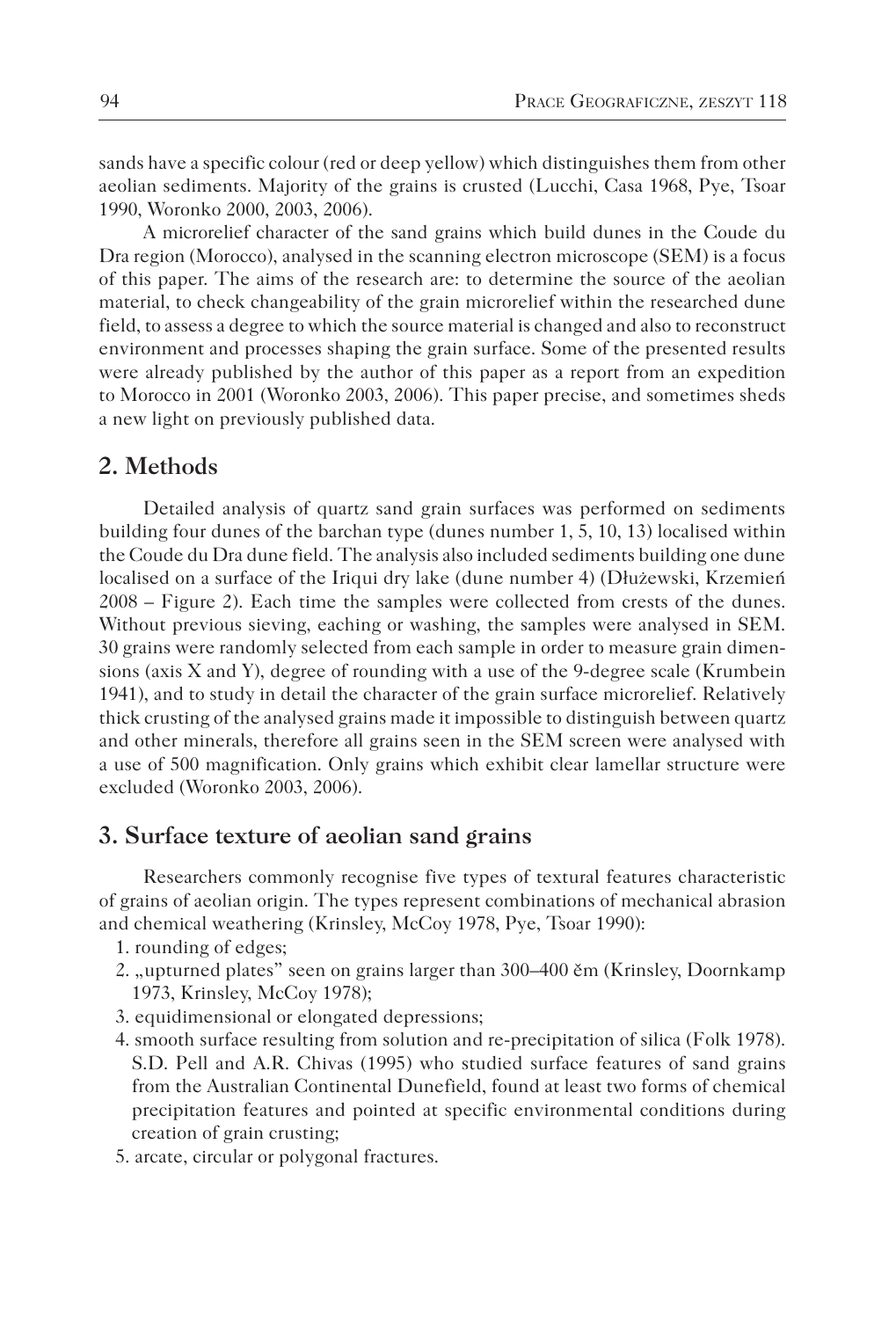sands have a specific colour (red or deep yellow) which distinguishes them from other aeolian sediments. Majority of the grains is crusted (Lucchi, Casa 1968, Pye, Tsoar 1990, Woronko 2000, 2003, 2006).

A microrelief character of the sand grains which build dunes in the Coude du Dra region (Morocco), analysed in the scanning electron microscope (SEM) is a focus of this paper. The aims of the research are: to determine the source of the aeolian material, to check changeability of the grain microrelief within the researched dune field, to assess a degree to which the source material is changed and also to reconstruct environment and processes shaping the grain surface. Some of the presented results were already published by the author of this paper as a report from an expedition to Morocco in 2001 (Woronko 2003, 2006). This paper precise, and sometimes sheds a new light on previously published data.

## **2. Methods**

Detailed analysis of quartz sand grain surfaces was performed on sediments building four dunes of the barchan type (dunes number 1, 5, 10, 13) localised within the Coude du Dra dune field. The analysis also included sediments building one dune localised on a surface of the Iriqui dry lake (dune number 4) (Dłużewski, Krzemień 2008 – Figure 2). Each time the samples were collected from crests of the dunes. Without previous sieving, eaching or washing, the samples were analysed in SEM. 30 grains were randomly selected from each sample in order to measure grain dimensions (axis X and Y), degree of rounding with a use of the 9-degree scale (Krumbein 1941), and to study in detail the character of the grain surface microrelief. Relatively thick crusting of the analysed grains made it impossible to distinguish between quartz and other minerals, therefore all grains seen in the SEM screen were analysed with a use of 500 magnification. Only grains which exhibit clear lamellar structure were excluded (Woronko 2003, 2006).

#### **3. Surface texture of aeolian sand grains**

Researchers commonly recognise five types of textural features characteristic of grains of aeolian origin. The types represent combinations of mechanical abrasion and chemical weathering (Krinsley, McCoy 1978, Pye, Tsoar 1990):

- 1. rounding of edges;
- 2. "upturned plates" seen on grains larger than 300–400 ěm (Krinsley, Doornkamp 1973, Krinsley, McCoy 1978);
- 3. equidimensional or elongated depressions;
- 4. smooth surface resulting from solution and re-precipitation of silica (Folk 1978). S.D. Pell and A.R. Chivas (1995) who studied surface features of sand grains from the Australian Continental Dunefield, found at least two forms of chemical precipitation features and pointed at specific environmental conditions during creation of grain crusting;
- 5. arcate, circular or polygonal fractures.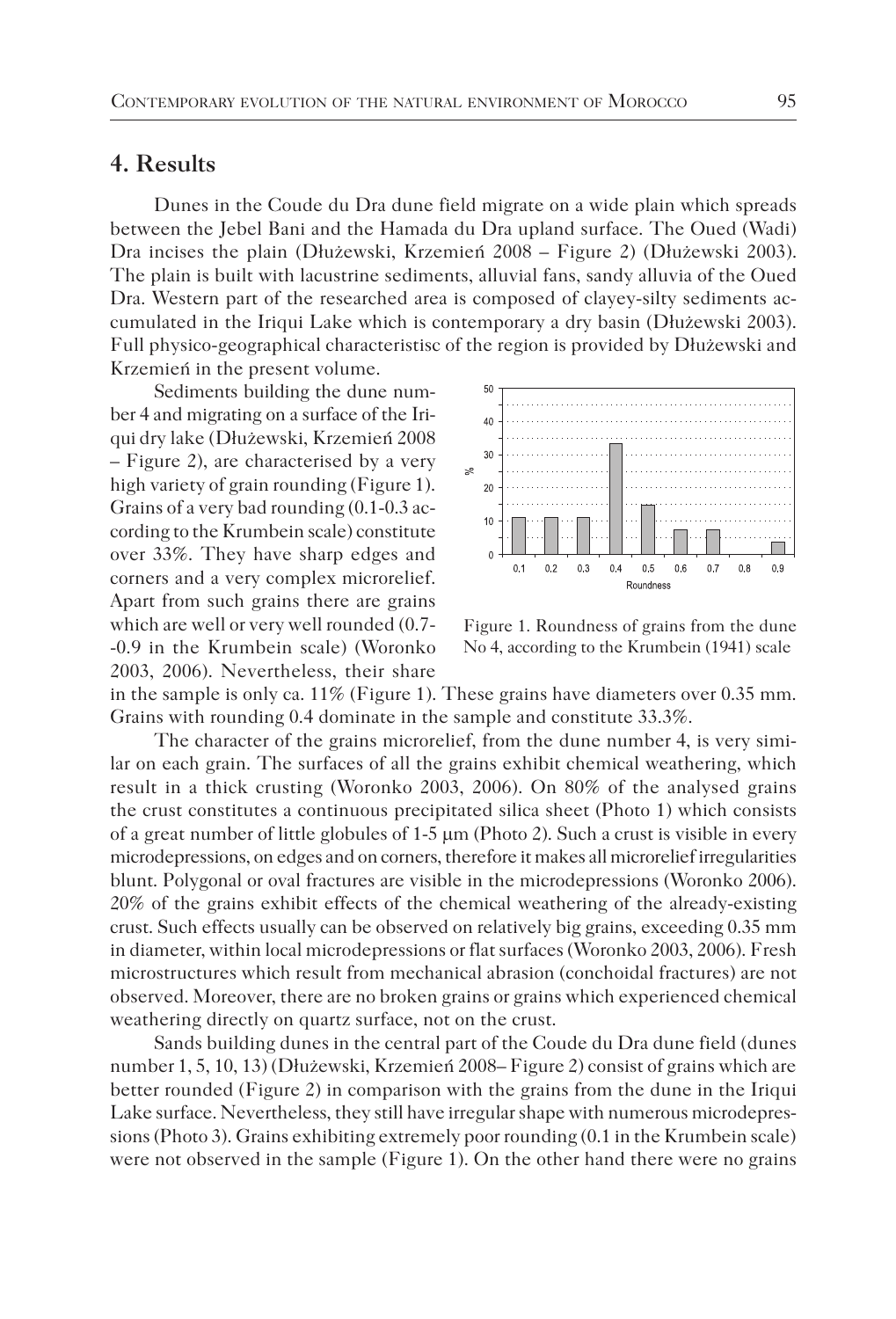#### **4. Results**

Dunes in the Coude du Dra dune field migrate on a wide plain which spreads between the Jebel Bani and the Hamada du Dra upland surface. The Oued (Wadi) Dra incises the plain (Dłużewski, Krzemień 2008 – Figure 2) (Dłużewski 2003). The plain is built with lacustrine sediments, alluvial fans, sandy alluvia of the Oued Dra. Western part of the researched area is composed of clayey-silty sediments accumulated in the Iriqui Lake which is contemporary a dry basin (Dłużewski 2003). Full physico-geographical characteristisc of the region is provided by Dłużewski and Krzemień in the present volume.

Sediments building the dune number 4 and migrating on a surface of the Iriqui dry lake (Dłużewski, Krzemień 2008 – Figure 2), are characterised by a very high variety of grain rounding (Figure 1). Grains of a very bad rounding (0.1-0.3 according to the Krumbein scale) constitute over 33%. They have sharp edges and corners and a very complex microrelief. Apart from such grains there are grains which are well or very well rounded (0.7- -0.9 in the Krumbein scale) (Woronko 2003, 2006). Nevertheless, their share



Figure 1. Roundness of grains from the dune No 4, according to the Krumbein (1941) scale

in the sample is only ca. 11% (Figure 1). These grains have diameters over 0.35 mm. Grains with rounding 0.4 dominate in the sample and constitute 33.3%.

The character of the grains microrelief, from the dune number 4, is very similar on each grain. The surfaces of all the grains exhibit chemical weathering, which result in a thick crusting (Woronko 2003, 2006). On 80% of the analysed grains the crust constitutes a continuous precipitated silica sheet (Photo 1) which consists of a great number of little globules of  $1-5 \mu m$  (Photo 2). Such a crust is visible in every microdepressions, on edges and on corners, therefore it makes all microrelief irregularities blunt. Polygonal or oval fractures are visible in the microdepressions (Woronko 2006). 20% of the grains exhibit effects of the chemical weathering of the already-existing crust. Such effects usually can be observed on relatively big grains, exceeding 0.35 mm in diameter, within local microdepressions or flat surfaces (Woronko 2003, 2006). Fresh microstructures which result from mechanical abrasion (conchoidal fractures) are not observed. Moreover, there are no broken grains or grains which experienced chemical weathering directly on quartz surface, not on the crust.

Sands building dunes in the central part of the Coude du Dra dune field (dunes number 1, 5, 10, 13) (Dłużewski, Krzemień 2008– Figure 2) consist of grains which are better rounded (Figure 2) in comparison with the grains from the dune in the Iriqui Lake surface. Nevertheless, they still have irregular shape with numerous microdepressions (Photo 3). Grains exhibiting extremely poor rounding (0.1 in the Krumbein scale) were not observed in the sample (Figure 1). On the other hand there were no grains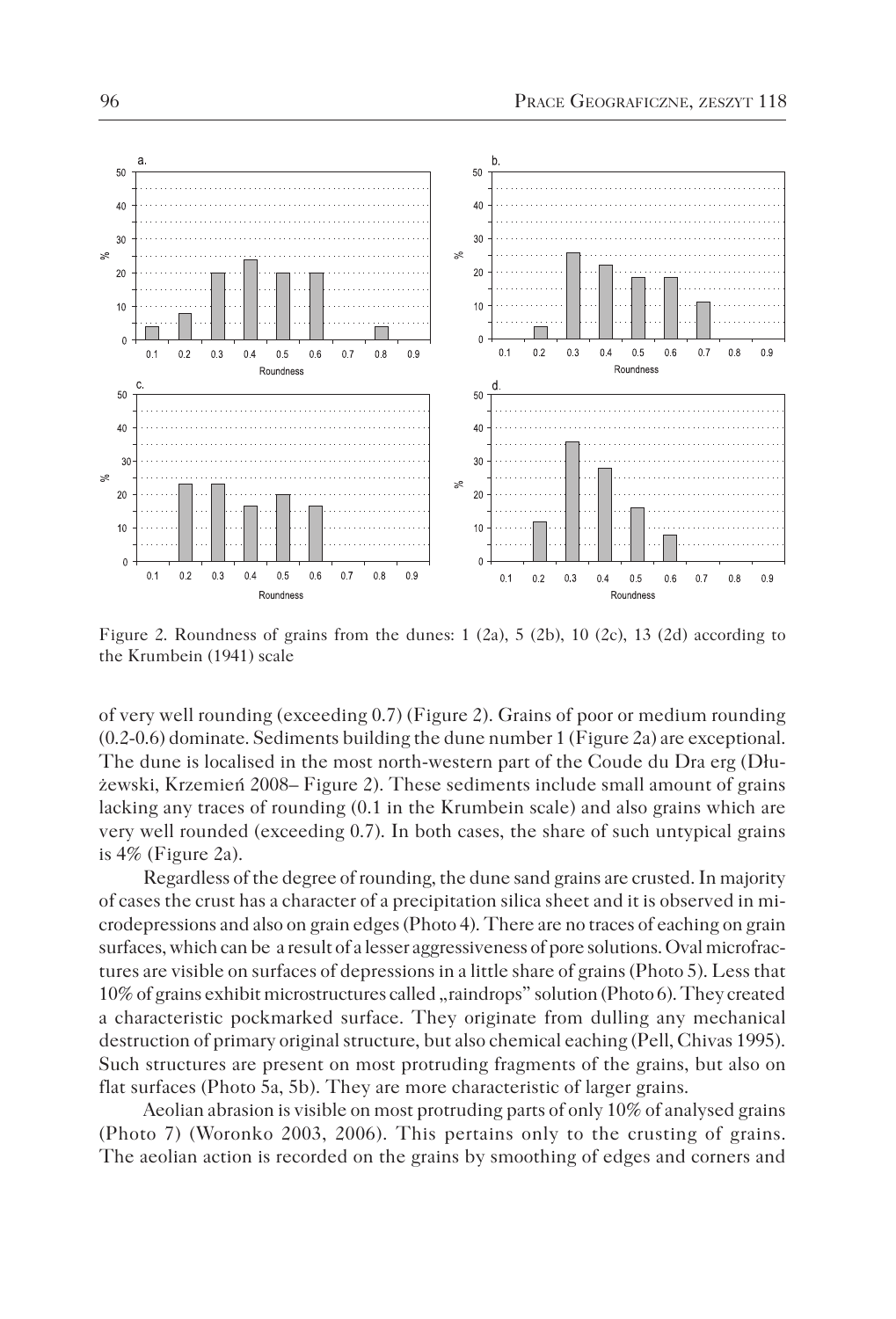

Figure 2. Roundness of grains from the dunes:  $1$  (2a),  $5$  (2b),  $10$  (2c),  $13$  (2d) according to the Krumbein (1941) scale

of very well rounding (exceeding 0.7) (Figure 2). Grains of poor or medium rounding (0.2-0.6) dominate. Sediments building the dune number 1 (Figure 2a) are exceptional. The dune is localised in the most north-western part of the Coude du Dra erg (Dłużewski, Krzemień 2008– Figure 2). These sediments include small amount of grains lacking any traces of rounding (0.1 in the Krumbein scale) and also grains which are very well rounded (exceeding 0.7). In both cases, the share of such untypical grains is 4% (Figure 2a).

Regardless of the degree of rounding, the dune sand grains are crusted. In majority of cases the crust has a character of a precipitation silica sheet and it is observed in microdepressions and also on grain edges (Photo 4). There are no traces of eaching on grain surfaces, which can be a result of a lesser aggressiveness of pore solutions. Oval microfractures are visible on surfaces of depressions in a little share of grains (Photo 5). Less that 10% of grains exhibit microstructures called "raindrops" solution (Photo 6). They created a characteristic pockmarked surface. They originate from dulling any mechanical destruction of primary original structure, but also chemical eaching (Pell, Chivas 1995). Such structures are present on most protruding fragments of the grains, but also on flat surfaces (Photo 5a, 5b). They are more characteristic of larger grains.

Aeolian abrasion is visible on most protruding parts of only 10% of analysed grains (Photo 7) (Woronko 2003, 2006). This pertains only to the crusting of grains. The aeolian action is recorded on the grains by smoothing of edges and corners and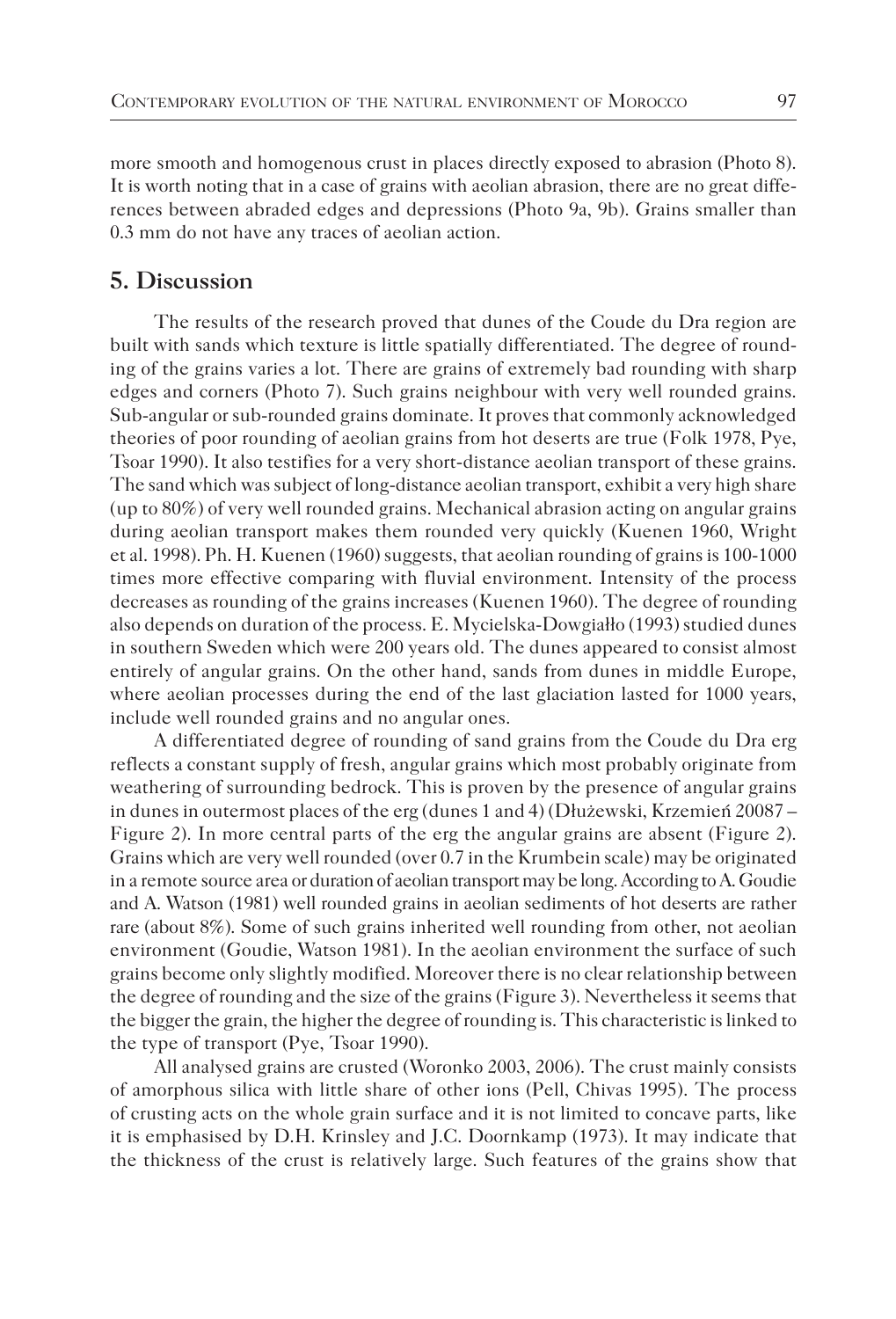more smooth and homogenous crust in places directly exposed to abrasion (Photo 8). It is worth noting that in a case of grains with aeolian abrasion, there are no great differences between abraded edges and depressions (Photo 9a, 9b). Grains smaller than 0.3 mm do not have any traces of aeolian action.

#### **5. Discussion**

The results of the research proved that dunes of the Coude du Dra region are built with sands which texture is little spatially differentiated. The degree of rounding of the grains varies a lot. There are grains of extremely bad rounding with sharp edges and corners (Photo 7). Such grains neighbour with very well rounded grains. Sub-angular or sub-rounded grains dominate. It proves that commonly acknowledged theories of poor rounding of aeolian grains from hot deserts are true (Folk 1978, Pye, Tsoar 1990). It also testifies for a very short-distance aeolian transport of these grains. The sand which was subject of long-distance aeolian transport, exhibit a very high share (up to 80%) of very well rounded grains. Mechanical abrasion acting on angular grains during aeolian transport makes them rounded very quickly (Kuenen 1960, Wright et al. 1998). Ph. H. Kuenen (1960) suggests, that aeolian rounding of grains is 100-1000 times more effective comparing with fluvial environment. Intensity of the process decreases as rounding of the grains increases (Kuenen 1960). The degree of rounding also depends on duration of the process. E. Mycielska-Dowgiałło (1993) studied dunes in southern Sweden which were 200 years old. The dunes appeared to consist almost entirely of angular grains. On the other hand, sands from dunes in middle Europe, where aeolian processes during the end of the last glaciation lasted for 1000 years, include well rounded grains and no angular ones.

A differentiated degree of rounding of sand grains from the Coude du Dra erg reflects a constant supply of fresh, angular grains which most probably originate from weathering of surrounding bedrock. This is proven by the presence of angular grains in dunes in outermost places of the erg (dunes 1 and 4) (Dłużewski, Krzemień 20087 – Figure 2). In more central parts of the erg the angular grains are absent (Figure 2). Grains which are very well rounded (over 0.7 in the Krumbein scale) may be originated in a remote source area or duration of aeolian transport may be long. According to A. Goudie and A. Watson (1981) well rounded grains in aeolian sediments of hot deserts are rather rare (about 8%). Some of such grains inherited well rounding from other, not aeolian environment (Goudie, Watson 1981). In the aeolian environment the surface of such grains become only slightly modified. Moreover there is no clear relationship between the degree of rounding and the size of the grains (Figure 3). Nevertheless it seems that the bigger the grain, the higher the degree of rounding is. This characteristic is linked to the type of transport (Pye, Tsoar 1990).

All analysed grains are crusted (Woronko 2003, 2006). The crust mainly consists of amorphous silica with little share of other ions (Pell, Chivas 1995). The process of crusting acts on the whole grain surface and it is not limited to concave parts, like it is emphasised by D.H. Krinsley and J.C. Doornkamp (1973). It may indicate that the thickness of the crust is relatively large. Such features of the grains show that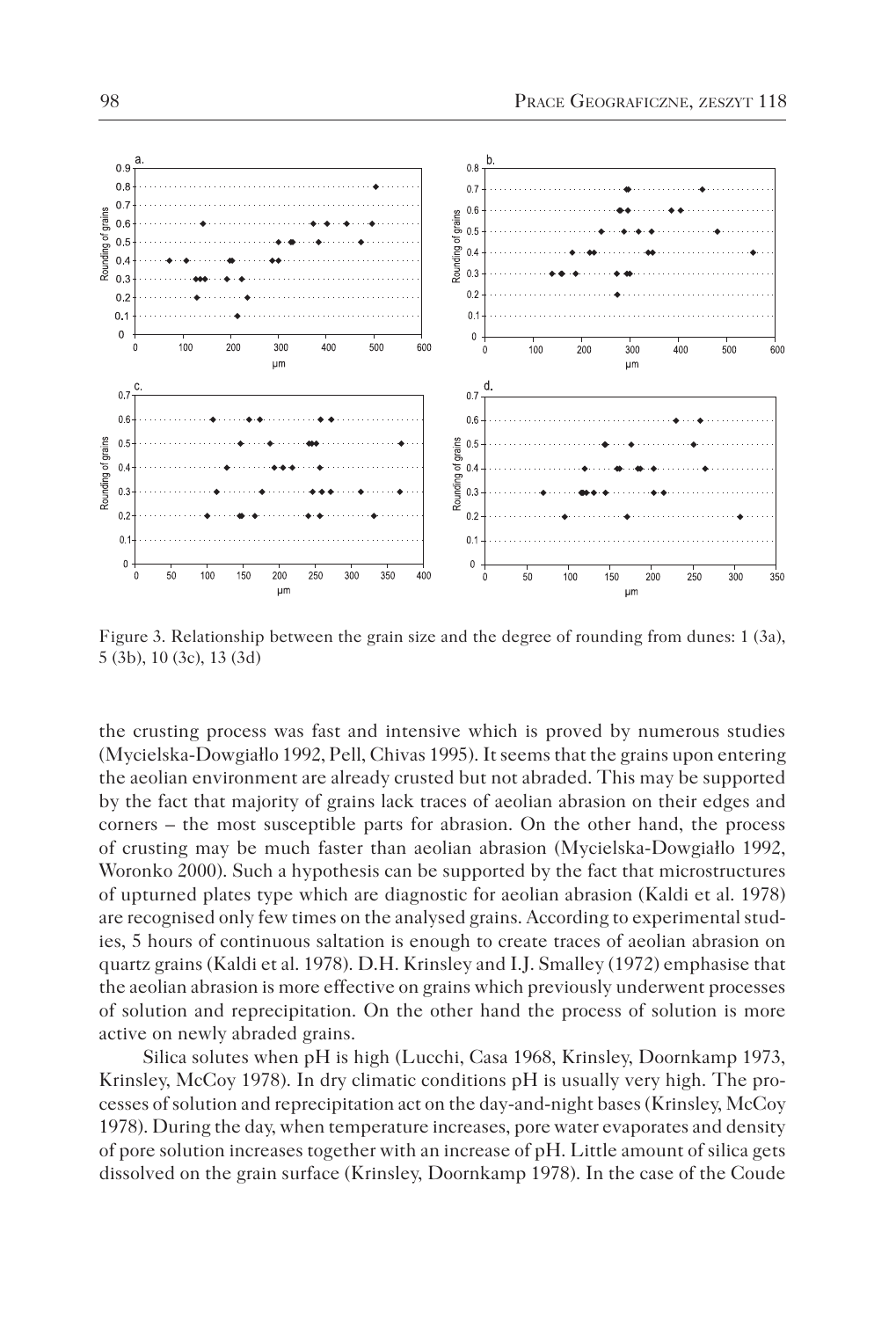

Figure 3. Relationship between the grain size and the degree of rounding from dunes: 1 (3a), 5 (3b), 10 (3c), 13 (3d)

the crusting process was fast and intensive which is proved by numerous studies (Mycielska-Dowgiałlo 1992, Pell, Chivas 1995). It seems that the grains upon entering the aeolian environment are already crusted but not abraded. This may be supported by the fact that majority of grains lack traces of aeolian abrasion on their edges and corners – the most susceptible parts for abrasion. On the other hand, the process of crusting may be much faster than aeolian abrasion (Mycielska-Dowgiałlo 1992, Woronko 2000). Such a hypothesis can be supported by the fact that microstructures of upturned plates type which are diagnostic for aeolian abrasion (Kaldi et al. 1978) are recognised only few times on the analysed grains. According to experimental studies, 5 hours of continuous saltation is enough to create traces of aeolian abrasion on quartz grains (Kaldi et al. 1978). D.H. Krinsley and I.J. Smalley (1972) emphasise that the aeolian abrasion is more effective on grains which previously underwent processes of solution and reprecipitation. On the other hand the process of solution is more active on newly abraded grains.

Silica solutes when pH is high (Lucchi, Casa 1968, Krinsley, Doornkamp 1973, Krinsley, McCoy 1978). In dry climatic conditions pH is usually very high. The processes of solution and reprecipitation act on the day-and-night bases (Krinsley, McCoy 1978). During the day, when temperature increases, pore water evaporates and density of pore solution increases together with an increase of pH. Little amount of silica gets dissolved on the grain surface (Krinsley, Doornkamp 1978). In the case of the Coude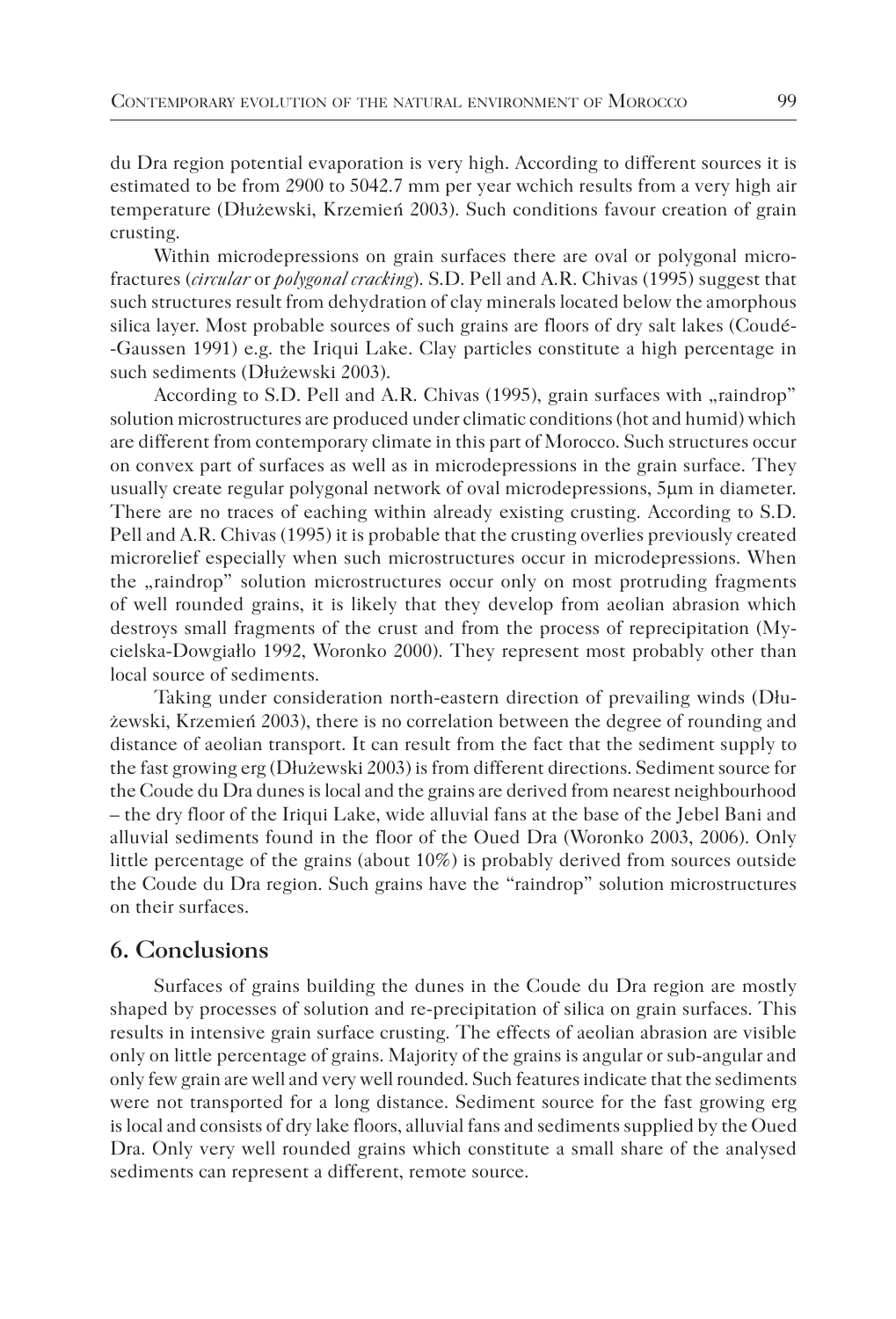du Dra region potential evaporation is very high. According to different sources it is estimated to be from 2900 to 5042.7 mm per year wchich results from a very high air temperature (Dłużewski, Krzemień 2003). Such conditions favour creation of grain crusting.

Within microdepressions on grain surfaces there are oval or polygonal microfractures (*circular* or *polygonal cracking*). S.D. Pell and A.R. Chivas (1995) suggest that such structures result from dehydration of clay minerals located below the amorphous silica layer. Most probable sources of such grains are floors of dry salt lakes (Coudé- -Gaussen 1991) e.g. the Iriqui Lake. Clay particles constitute a high percentage in such sediments (Dłużewski 2003).

According to S.D. Pell and A.R. Chivas (1995), grain surfaces with "raindrop" solution microstructures are produced under climatic conditions (hot and humid) which are different from contemporary climate in this part of Morocco. Such structures occur on convex part of surfaces as well as in microdepressions in the grain surface. They usually create regular polygonal network of oval microdepressions, 5µm in diameter. There are no traces of eaching within already existing crusting. According to S.D. Pell and A.R. Chivas (1995) it is probable that the crusting overlies previously created microrelief especially when such microstructures occur in microdepressions. When the "raindrop" solution microstructures occur only on most protruding fragments of well rounded grains, it is likely that they develop from aeolian abrasion which destroys small fragments of the crust and from the process of reprecipitation (Mycielska-Dowgiałlo 1992, Woronko 2000). They represent most probably other than local source of sediments.

Taking under consideration north-eastern direction of prevailing winds (Dłużewski, Krzemień 2003), there is no correlation between the degree of rounding and distance of aeolian transport. It can result from the fact that the sediment supply to the fast growing erg (Dłużewski 2003) is from different directions. Sediment source for the Coude du Dra dunes is local and the grains are derived from nearest neighbourhood – the dry floor of the Iriqui Lake, wide alluvial fans at the base of the Jebel Bani and alluvial sediments found in the floor of the Oued Dra (Woronko 2003, 2006). Only little percentage of the grains (about 10%) is probably derived from sources outside the Coude du Dra region. Such grains have the "raindrop" solution microstructures on their surfaces.

## **6. Conclusions**

Surfaces of grains building the dunes in the Coude du Dra region are mostly shaped by processes of solution and re-precipitation of silica on grain surfaces. This results in intensive grain surface crusting. The effects of aeolian abrasion are visible only on little percentage of grains. Majority of the grains is angular or sub-angular and only few grain are well and very well rounded. Such features indicate that the sediments were not transported for a long distance. Sediment source for the fast growing erg is local and consists of dry lake floors, alluvial fans and sediments supplied by the Oued Dra. Only very well rounded grains which constitute a small share of the analysed sediments can represent a different, remote source.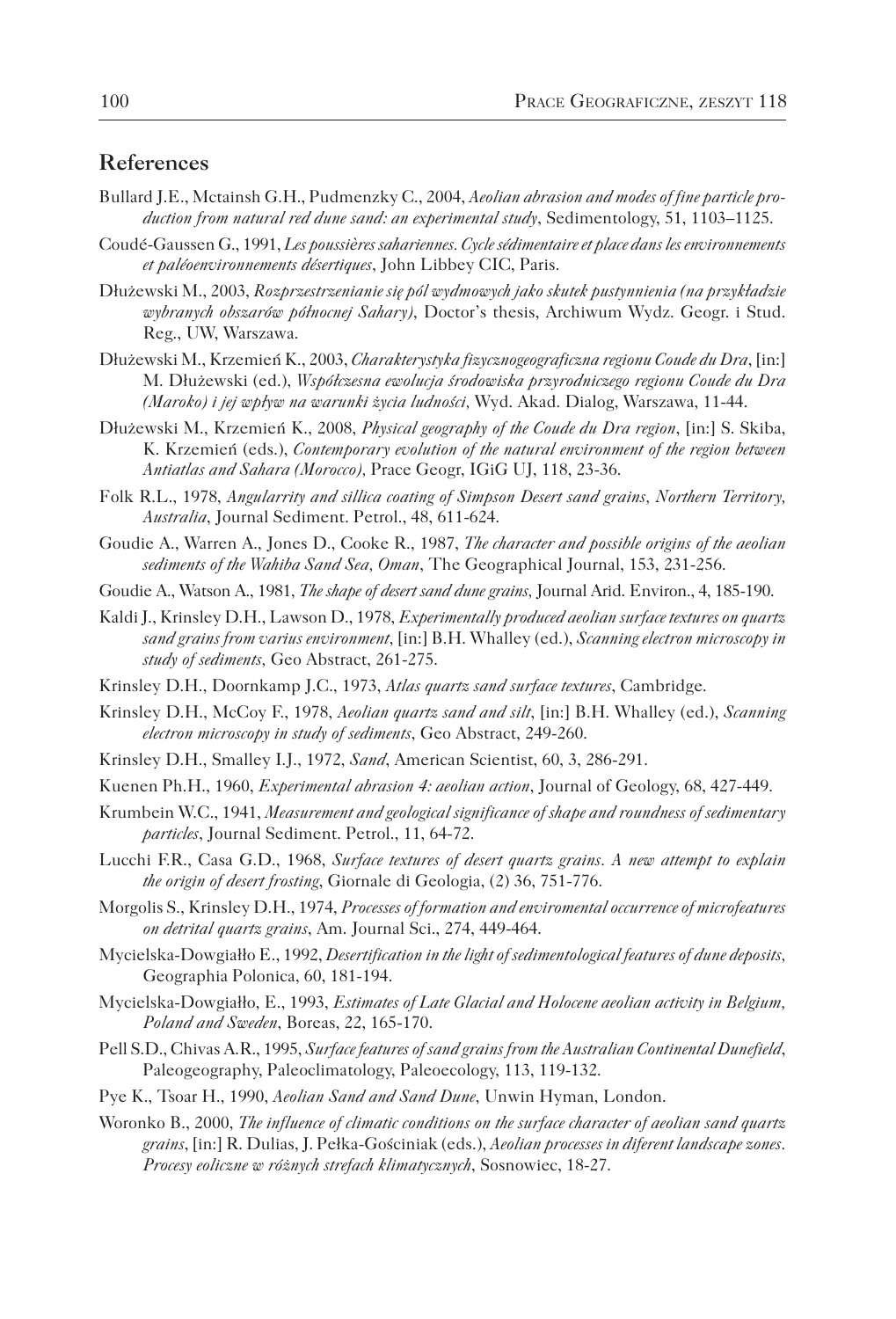#### **References**

- Bullard J.E., Mctainsh G.H., Pudmenzky C., 2004, *Aeolian abrasion and modes of fine particle production from natural red dune sand: an experimental study*, Sedimentology, 51, 1103–1125.
- Coudé-Gaussen G., 1991, *Les poussières sahariennes. Cycle sédimentaire et place dans les environnements et paléoenvironnements désertiques*, John Libbey CIC, Paris.
- Dłużewski M., 2003, *Rozprzestrzenianie się pól wydmowych jako skutek pustynnienia (na przykładzie wybranych obszarów północnej Sahary)*, Doctor's thesis, Archiwum Wydz. Geogr. i Stud. Reg., UW, Warszawa.
- Dłużewski M., Krzemień K., 2003, *Charakterystyka fizycznogeograficzna regionu Coude du Dra*, [in:] M. Dłużewski (ed.), *Współczesna ewolucja środowiska przyrodniczego regionu Coude du Dra (Maroko) i jej wpływ na warunki życia ludności,* Wyd. Akad. Dialog, Warszawa, 11-44.
- Dłużewski M., Krzemień K., 2008, *Physical geography of the Coude du Dra region*, [in:] S. Skiba, K. Krzemień (eds.), *Contemporary evolution of the natural environment of the region between Antiatlas and Sahara (Morocco),* Prace Geogr, IGiG UJ, 118, 23-36.
- Folk R.L., 1978, *Angularrity and sillica coating of Simpson Desert sand grains, Northern Territory, Australia*, Journal Sediment. Petrol., 48, 611-624.
- Goudie A., Warren A., Jones D., Cooke R., 1987, *The character and possible origins of the aeolian sediments of the Wahiba Sand Sea, Oman*, The Geographical Journal, 153, 231-256.
- Goudie A., Watson A., 1981, *The shape of desert sand dune grains,* Journal Arid. Environ., 4, 185-190.
- Kaldi J., Krinsley D.H., Lawson D., 1978, *Experimentally produced aeolian surface textures on quartz sand grains from varius environment*, [in:] B.H. Whalley (ed.), *Scanning electron microscopy in study of sediments,* Geo Abstract, 261-275.
- Krinsley D.H., Doornkamp J.C., 1973, *Atlas quartz sand surface textures*, Cambridge.
- Krinsley D.H., McCoy F., 1978, *Aeolian quartz sand and silt*, [in:] B.H. Whalley (ed.), *Scanning electron microscopy in study of sediments*, Geo Abstract, 249-260.
- Krinsley D.H., Smalley I.J., 1972, *Sand*, American Scientist, 60, 3, 286-291.
- Kuenen Ph.H., 1960, *Experimental abrasion 4: aeolian action*, Journal of Geology, 68, 427-449.
- Krumbein W.C., 1941, *Measurement and geological significance of shape and roundness of sedimentary particles*, Journal Sediment. Petrol., 11, 64-72.
- Lucchi F.R., Casa G.D., 1968, *Surface textures of desert quartz grains. A new attempt to explain the origin of desert frosting*, Giornale di Geologia, (2) 36, 751-776.
- Morgolis S., Krinsley D.H., 1974, *Processes of formation and enviromental occurrence of microfeatures on detrital quartz grains*, Am. Journal Sci., 274, 449-464.
- Mycielska-Dowgiałło E., 1992, *Desertification in the light of sedimentological features of dune deposits,*  Geographia Polonica, 60, 181-194.
- Mycielska-Dowgiałło, E., 1993, *Estimates of Late Glacial and Holocene aeolian activity in Belgium, Poland and Sweden*, Boreas, 22, 165-170.
- Pell S.D., Chivas A.R., 1995, *Surface features of sand grains from the Australian Continental Dunefield*, Paleogeography, Paleoclimatology, Paleoecology, 113, 119-132.
- Pye K., Tsoar H., 1990, *Aeolian Sand and Sand Dune*, Unwin Hyman, London.
- Woronko B., 2000, *The influence of climatic conditions on the surface character of aeolian sand quartz grains*, [in:] R. Dulias, J. Pełka-Gościniak (eds.), *Aeolian processes in diferent landscape zones. Procesy eoliczne w różnych strefach klimatycznych*, Sosnowiec, 18-27.